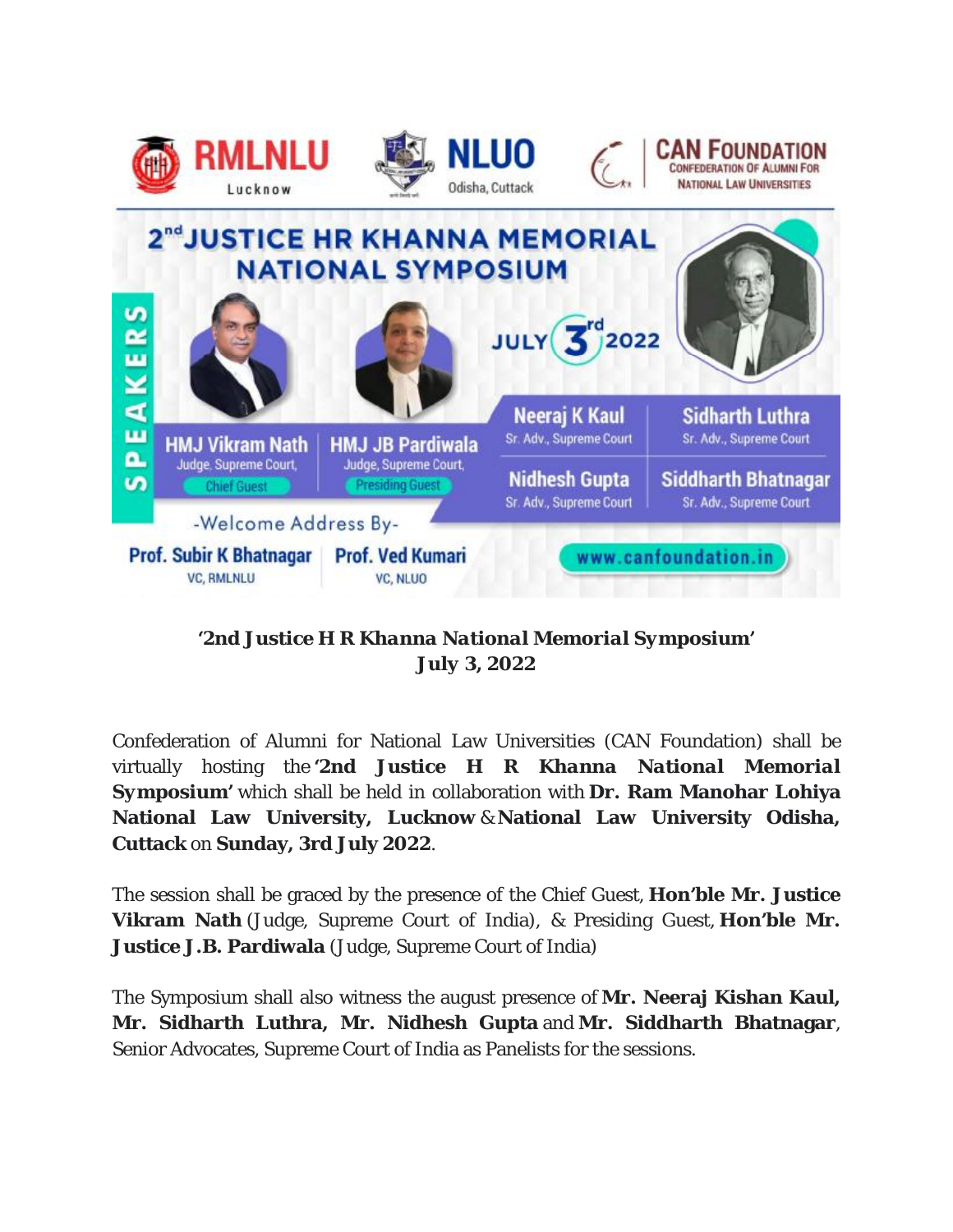









*'2nd Justice H R Khanna National Memorial Symposium' July 3, 2022*

Confederation of Alumni for National Law Universities (CAN Foundation) shall be virtually hosting the *'2nd Justice H R Khanna National Memorial Symposium'* which shall be held in collaboration with **Dr. Ram Manohar Lohiya National Law University, Lucknow** & **National Law University Odisha, Cuttack** on **Sunday, 3rd July 2022**.

The session shall be graced by the presence of the Chief Guest, **Hon'ble Mr. Justice Vikram Nath** (Judge, Supreme Court of India), & Presiding Guest, **Hon'ble Mr. Justice J.B. Pardiwala** (Judge, Supreme Court of India)

The Symposium shall also witness the august presence of **Mr. Neeraj Kishan Kaul, Mr. Sidharth Luthra, Mr. Nidhesh Gupta** and **Mr. Siddharth Bhatnagar**, Senior Advocates, Supreme Court of India as Panelists for the sessions.